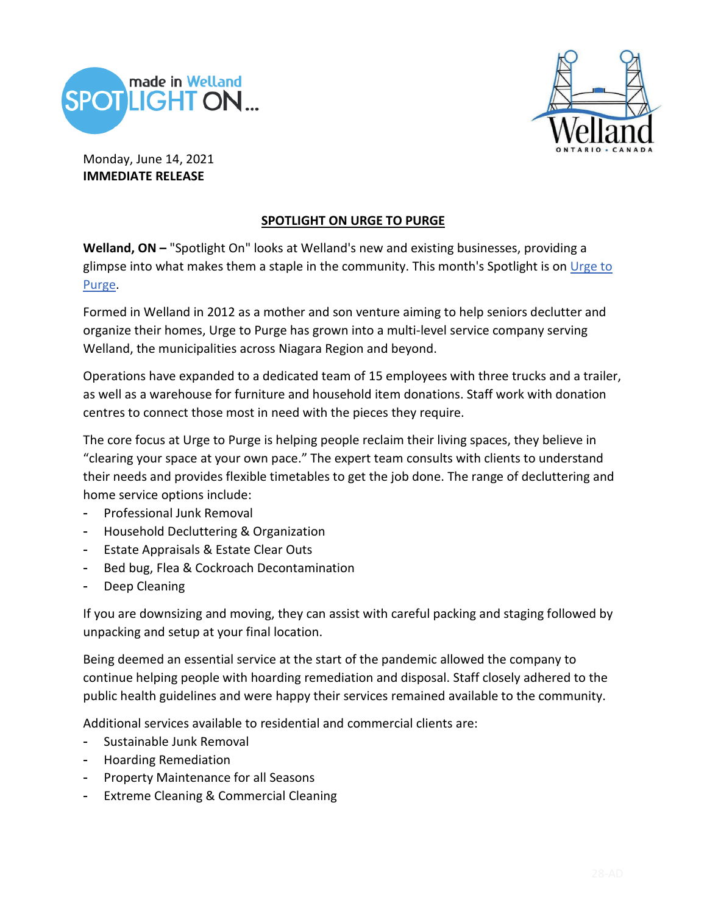



Monday, June 14, 2021 **IMMEDIATE RELEASE**

## **SPOTLIGHT ON URGE TO PURGE**

**Welland, ON –** "Spotlight On" looks at Welland's new and existing businesses, providing a glimpse into what makes them a staple in the community. This month's Spotlight is on Urge to Purge.

Formed in Welland in 2012 as a mother and son venture aiming to help seniors declutter and organize their homes, Urge to Purge has grown into a multi-level service company serving Welland, the municipalities across Niagara Region and beyond.

Operations have expanded to a dedicated team of 15 employees with three trucks and a trailer, as well as a warehouse for furniture and household item donations. Staff work with donation centres to connect those most in need with the pieces they require.

The core focus at Urge to Purge is helping people reclaim their living spaces, they believe in "clearing your space at your own pace." The expert team consults with clients to understand their needs and provides flexible timetables to get the job done. The range of decluttering and home service options include:

- Professional Junk Removal
- Household Decluttering & Organization
- Estate Appraisals & Estate Clear Outs
- Bed bug, Flea & Cockroach Decontamination
- Deep Cleaning

If you are downsizing and moving, they can assist with careful packing and staging followed by unpacking and setup at your final location.

Being deemed an essential service at the start of the pandemic allowed the company to continue helping people with hoarding remediation and disposal. Staff closely adhered to the public health guidelines and were happy their services remained available to the community.

Additional services available to residential and commercial clients are:

- Sustainable Junk Removal
- Hoarding Remediation
- Property Maintenance for all Seasons
- Extreme Cleaning & Commercial Cleaning